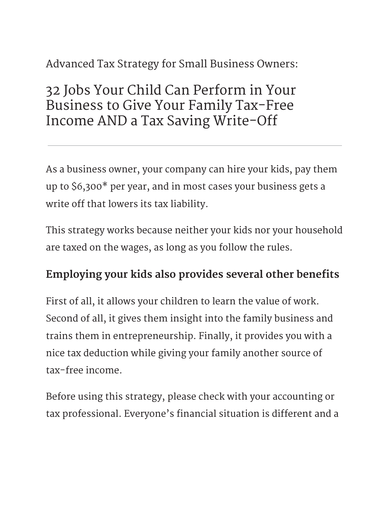# Advanced Tax Strategy for Small Business Owners:

# 32 Jobs Your Child Can Perform in Your Business to Give Your Family Tax-Free Income AND a Tax Saving Write-Off

As a business owner, your company can hire your kids, pay them up to \$6,300\* per year, and in most cases your business gets a write off that lowers its tax liability.

This strategy works because neither your kids nor your household are taxed on the wages, as long as you follow the rules.

### Employing your kids also provides several other benefits

First of all, it allows your children to learn the value of work. Second of all, it gives them insight into the family business and trains them in entrepreneurship. Finally, it provides you with a nice tax deduction while giving your family another source of tax-free income.

Before using this strategy, please check with your accounting or tax professional. Everyone's financial situation is different and a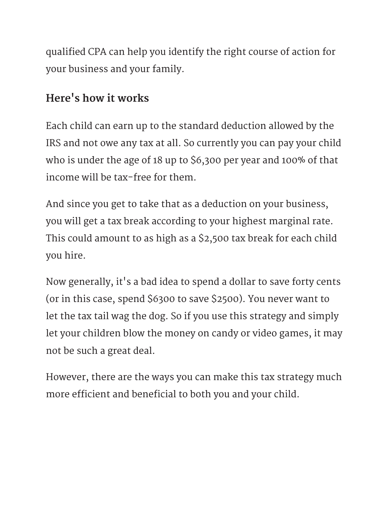qualified CPA can help you identify the right course of action for your business and your family.

### Here's how it works

Each child can earn up to the standard deduction allowed by the IRS and not owe any tax at all. So currently you can pay your child who is under the age of 18 up to \$6,300 per year and 100% of that income will be tax-free for them.

And since you get to take that as a deduction on your business, you will get a tax break according to your highest marginal rate. This could amount to as high as a \$2,500 tax break for each child you hire.

Now generally, it's a bad idea to spend a dollar to save forty cents (or in this case, spend \$6300 to save \$2500). You never want to let the tax tail wag the dog. So if you use this strategy and simply let your children blow the money on candy or video games, it may not be such a great deal.

However, there are the ways you can make this tax strategy much more efficient and beneficial to both you and your child.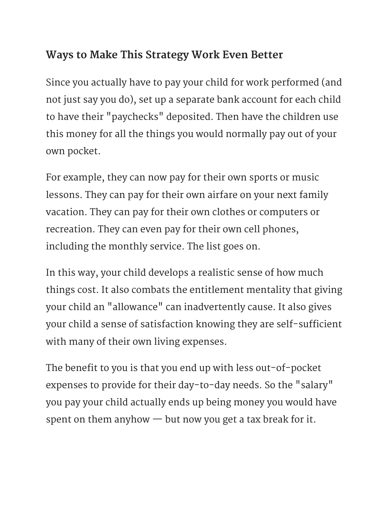## Ways to Make This Strategy Work Even Better

Since you actually have to pay your child for work performed (and not just say you do), set up a separate bank account for each child to have their "paychecks" deposited. Then have the children use this money for all the things you would normally pay out of your own pocket.

For example, they can now pay for their own sports or music lessons. They can pay for their own airfare on your next family vacation. They can pay for their own clothes or computers or recreation. They can even pay for their own cell phones, including the monthly service. The list goes on.

In this way, your child develops a realistic sense of how much things cost. It also combats the entitlement mentality that giving your child an "allowance" can inadvertently cause. It also gives your child a sense of satisfaction knowing they are self-sufficient with many of their own living expenses.

The benefit to you is that you end up with less out-of-pocket expenses to provide for their day-to-day needs. So the "salary" you pay your child actually ends up being money you would have spent on them anyhow — but now you get a tax break for it.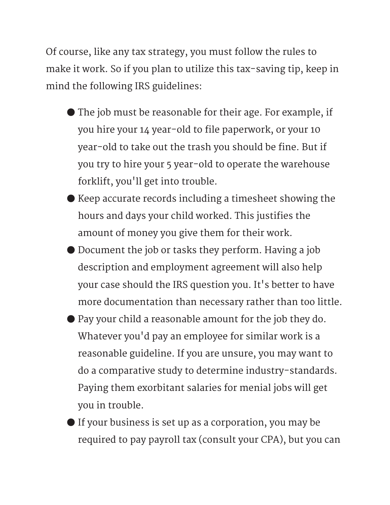Of course, like any tax strategy, you must follow the rules to make it work. So if you plan to utilize this tax-saving tip, keep in mind the following IRS guidelines:

- ە The job must be reasonable for their age. For example, if you hire your 14 year-old to file paperwork, or your 10 year-old to take out the trash you should be fine. But if you try to hire your 5 year-old to operate the warehouse forklift, you'll get into trouble.
- ە Keep accurate records including a timesheet showing the hours and days your child worked. This justifies the amount of money you give them for their work.
- ە Document the job or tasks they perform. Having a job description and employment agreement will also help your case should the IRS question you. It's better to have more documentation than necessary rather than too little.
- ە Pay your child a reasonable amount for the job they do. Whatever you'd pay an employee for similar work is a reasonable guideline. If you are unsure, you may want to do a comparative study to determine industry-standards. Paying them exorbitant salaries for menial jobs will get you in trouble.
- ە If your business is set up as a corporation, you may be required to pay payroll tax (consult your CPA), but you can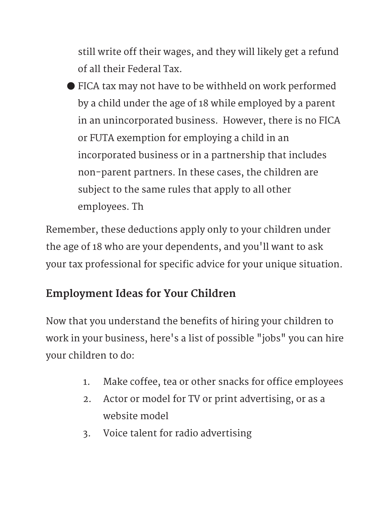still write off their wages, and they will likely get a refund of all their Federal Tax.

ە FICA tax may not have to be withheld on work performed by a child under the age of 18 while employed by a parent in an unincorporated business. However, there is no FICA or FUTA exemption for employing a child in an incorporated business or in a partnership that includes non-parent partners. In these cases, the children are subject to the same rules that apply to all other employees. Th

Remember, these deductions apply only to your children under the age of 18 who are your dependents, and you'll want to ask your tax professional for specific advice for your unique situation.

# Employment Ideas for Your Children

Now that you understand the benefits of hiring your children to work in your business, here's a list of possible "jobs" you can hire your children to do:

- 1. Make coffee, tea or other snacks for office employees
- 2. Actor or model for TV or print advertising, or as a website model
- 3. Voice talent for radio advertising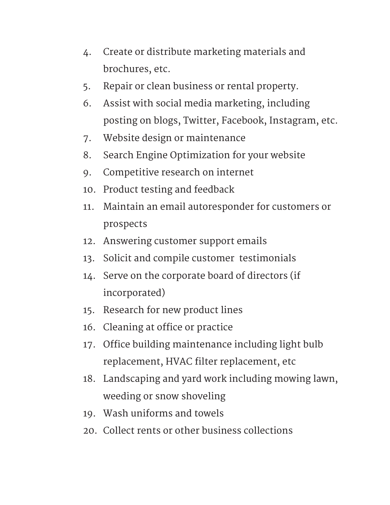- 4. Create or distribute marketing materials and brochures, etc.
- 5. Repair or clean business or rental property.
- 6. Assist with social media marketing, including posting on blogs, Twitter, Facebook, Instagram, etc.
- 7. Website design or maintenance
- 8. Search Engine Optimization for your website
- 9. Competitive research on internet
- 10. Product testing and feedback
- 11. Maintain an email autoresponder for customers or prospects
- 12. Answering customer support emails
- 13. Solicit and compile customer testimonials
- 14. Serve on the corporate board of directors (if incorporated)
- 15. Research for new product lines
- 16. Cleaning at office or practice
- 17. Office building maintenance including light bulb replacement, HVAC filter replacement, etc
- 18. Landscaping and yard work including mowing lawn, weeding or snow shoveling
- 19. Wash uniforms and towels
- 20. Collect rents or other business collections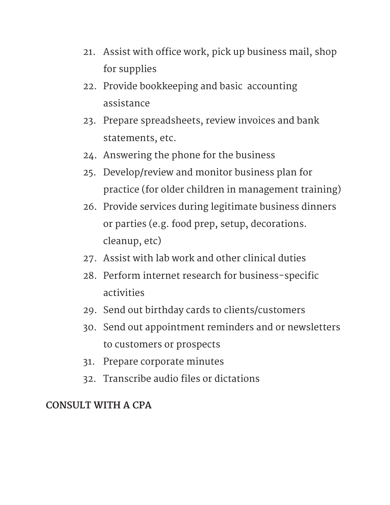- 21. Assist with office work, pick up business mail, shop for supplies
- 22. Provide bookkeeping and basic accounting assistance
- 23. Prepare spreadsheets, review invoices and bank statements, etc.
- 24. Answering the phone for the business
- 25. Develop/review and monitor business plan for practice (for older children in management training)
- 26. Provide services during legitimate business dinners or parties (e.g. food prep, setup, decorations. cleanup, etc)
- 27. Assist with lab work and other clinical duties
- 28. Perform internet research for business-specific activities
- 29. Send out birthday cards to clients/customers
- 30. Send out appointment reminders and or newsletters to customers or prospects
- 31. Prepare corporate minutes
- 32. Transcribe audio files or dictations

#### CONSULT WITH A CPA